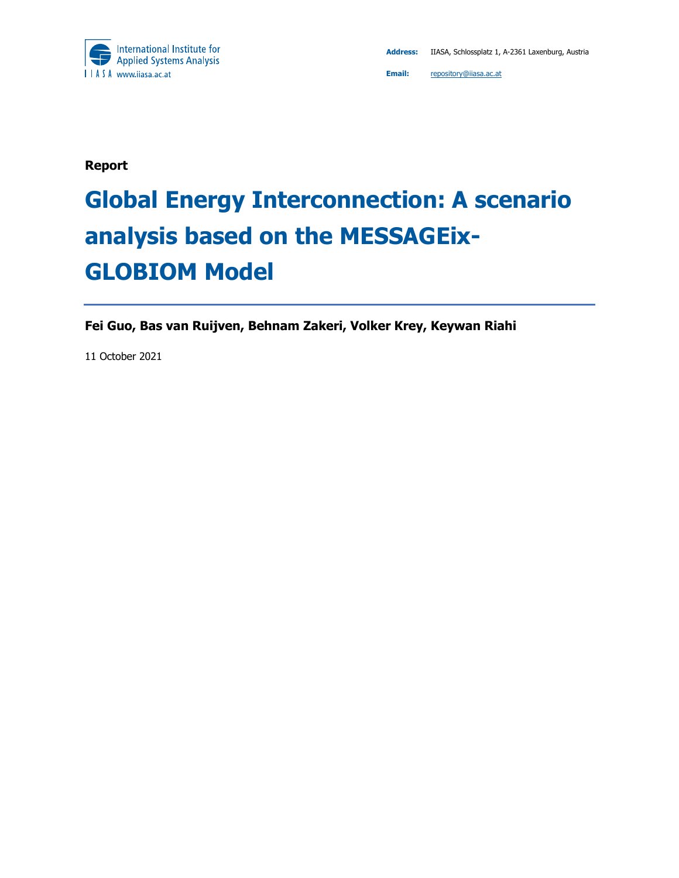

**Report** 

# **Global Energy Interconnection: A scenario analysis based on the MESSAGEix-GLOBIOM Model**

**Fei Guo, Bas van Ruijven, Behnam Zakeri, Volker Krey, Keywan Riahi** 

11 October 2021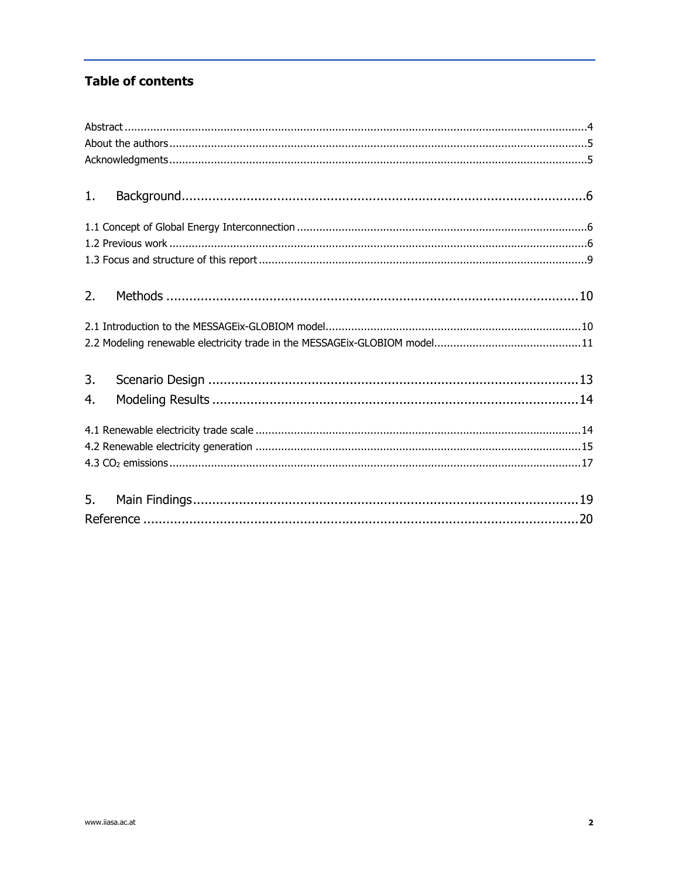#### **Table of contents**

| 1. |  |  |  |  |  |  |
|----|--|--|--|--|--|--|
|    |  |  |  |  |  |  |
|    |  |  |  |  |  |  |
|    |  |  |  |  |  |  |
|    |  |  |  |  |  |  |
|    |  |  |  |  |  |  |
| 2. |  |  |  |  |  |  |
|    |  |  |  |  |  |  |
|    |  |  |  |  |  |  |
|    |  |  |  |  |  |  |
|    |  |  |  |  |  |  |
| 3. |  |  |  |  |  |  |
| 4. |  |  |  |  |  |  |
|    |  |  |  |  |  |  |
|    |  |  |  |  |  |  |
|    |  |  |  |  |  |  |
|    |  |  |  |  |  |  |
|    |  |  |  |  |  |  |
| 5. |  |  |  |  |  |  |
|    |  |  |  |  |  |  |
|    |  |  |  |  |  |  |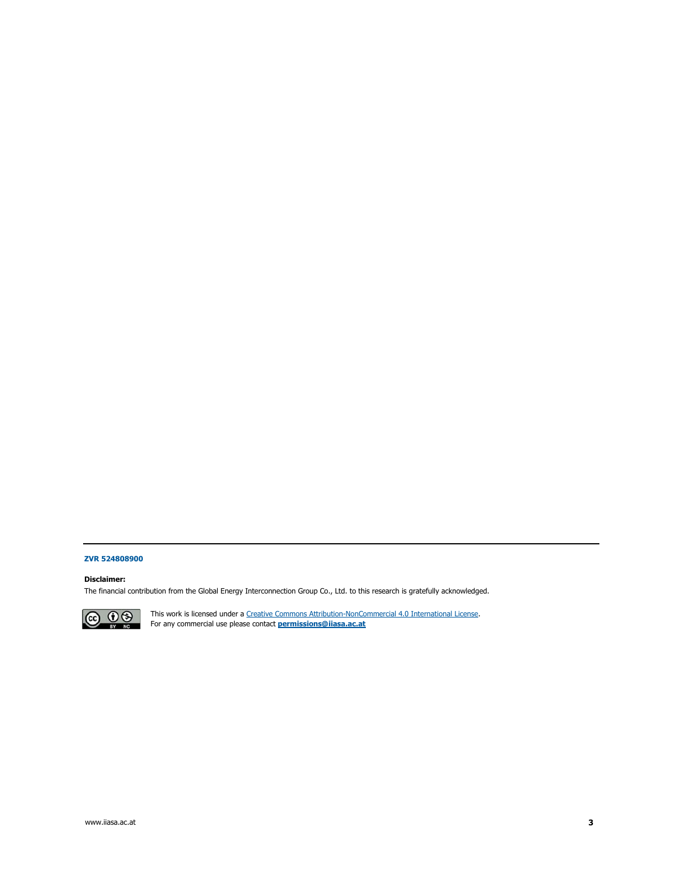#### **ZVR 524808900**

#### **Disclaimer:**

The financial contribution from the Global Energy Interconnection Group Co., Ltd. to this research is gratefully acknowledged.



This work is licensed under a Creative Commons Attribution-NonCommercial 4.0 International License. For any commercial use please contact **permissions@iiasa.ac.at**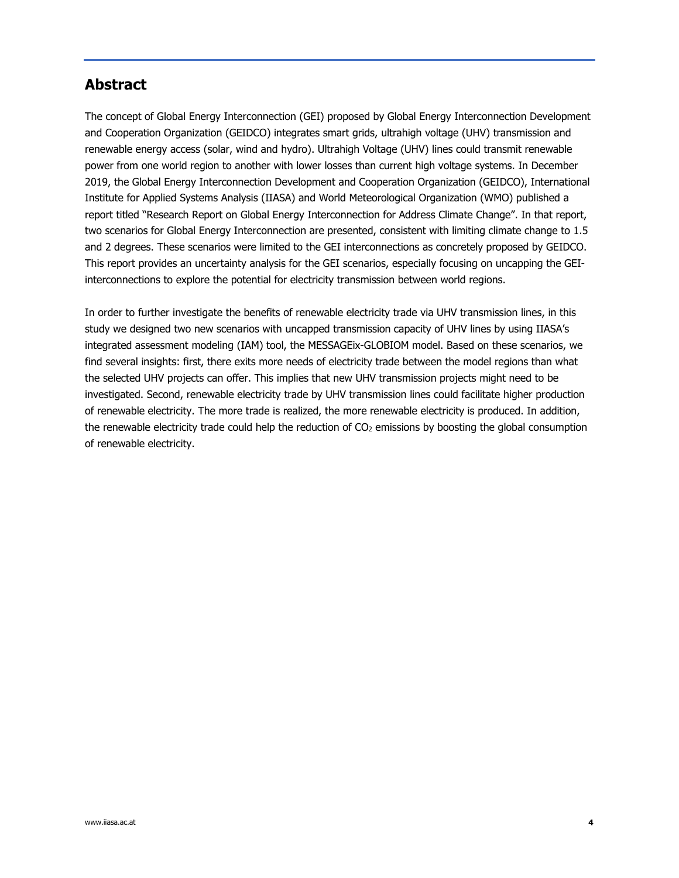### **Abstract**

The concept of Global Energy Interconnection (GEI) proposed by Global Energy Interconnection Development and Cooperation Organization (GEIDCO) integrates smart grids, ultrahigh voltage (UHV) transmission and renewable energy access (solar, wind and hydro). Ultrahigh Voltage (UHV) lines could transmit renewable power from one world region to another with lower losses than current high voltage systems. In December 2019, the Global Energy Interconnection Development and Cooperation Organization (GEIDCO), International Institute for Applied Systems Analysis (IIASA) and World Meteorological Organization (WMO) published a report titled "Research Report on Global Energy Interconnection for Address Climate Change". In that report, two scenarios for Global Energy Interconnection are presented, consistent with limiting climate change to 1.5 and 2 degrees. These scenarios were limited to the GEI interconnections as concretely proposed by GEIDCO. This report provides an uncertainty analysis for the GEI scenarios, especially focusing on uncapping the GEIinterconnections to explore the potential for electricity transmission between world regions.

In order to further investigate the benefits of renewable electricity trade via UHV transmission lines, in this study we designed two new scenarios with uncapped transmission capacity of UHV lines by using IIASA's integrated assessment modeling (IAM) tool, the MESSAGEix-GLOBIOM model. Based on these scenarios, we find several insights: first, there exits more needs of electricity trade between the model regions than what the selected UHV projects can offer. This implies that new UHV transmission projects might need to be investigated. Second, renewable electricity trade by UHV transmission lines could facilitate higher production of renewable electricity. The more trade is realized, the more renewable electricity is produced. In addition, the renewable electricity trade could help the reduction of CO<sub>2</sub> emissions by boosting the global consumption of renewable electricity.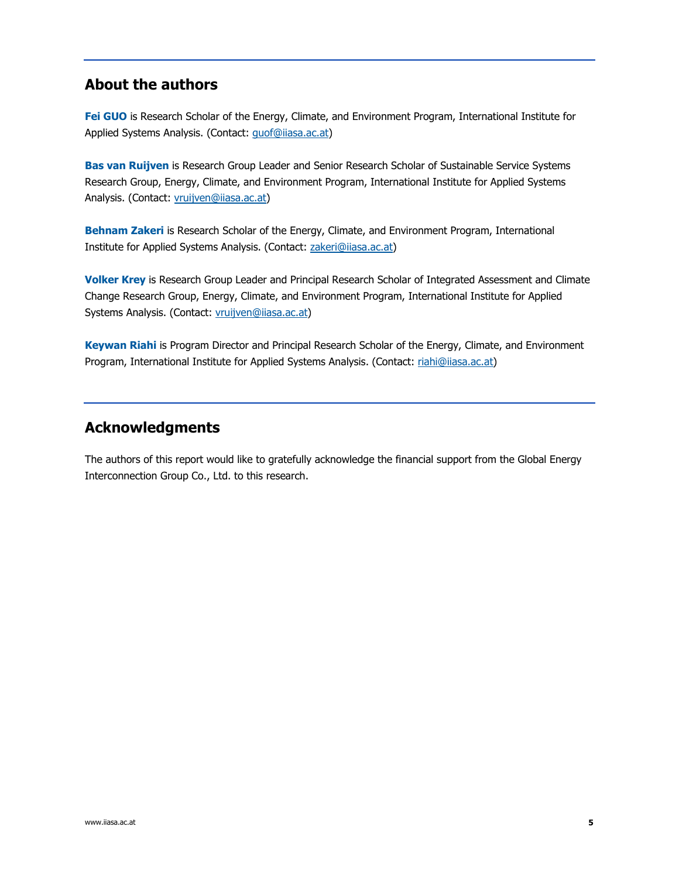### **About the authors**

**Fei GUO** is Research Scholar of the Energy, Climate, and Environment Program, International Institute for Applied Systems Analysis. (Contact: quof@iiasa.ac.at)

**Bas van Ruijven** is Research Group Leader and Senior Research Scholar of Sustainable Service Systems Research Group, Energy, Climate, and Environment Program, International Institute for Applied Systems Analysis. (Contact: vruijven@iiasa.ac.at)

**Behnam Zakeri** is Research Scholar of the Energy, Climate, and Environment Program, International Institute for Applied Systems Analysis. (Contact: zakeri@iiasa.ac.at)

**Volker Krey** is Research Group Leader and Principal Research Scholar of Integrated Assessment and Climate Change Research Group, Energy, Climate, and Environment Program, International Institute for Applied Systems Analysis. (Contact: *vruijven@iiasa.ac.at*)

**Keywan Riahi** is Program Director and Principal Research Scholar of the Energy, Climate, and Environment Program, International Institute for Applied Systems Analysis. (Contact: riahi@iiasa.ac.at)

### **Acknowledgments**

The authors of this report would like to gratefully acknowledge the financial support from the Global Energy Interconnection Group Co., Ltd. to this research.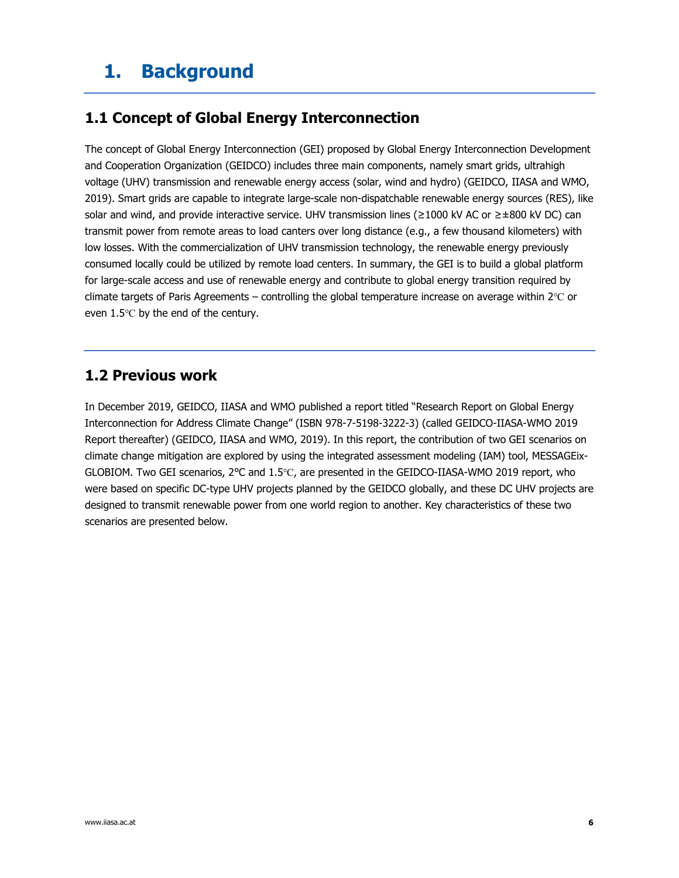# **1. Background**

### **1.1 Concept of Global Energy Interconnection**

The concept of Global Energy Interconnection (GEI) proposed by Global Energy Interconnection Development and Cooperation Organization (GEIDCO) includes three main components, namely smart grids, ultrahigh voltage (UHV) transmission and renewable energy access (solar, wind and hydro) (GEIDCO, IIASA and WMO, 2019). Smart grids are capable to integrate large-scale non-dispatchable renewable energy sources (RES), like solar and wind, and provide interactive service. UHV transmission lines (≥1000 kV AC or ≥±800 kV DC) can transmit power from remote areas to load canters over long distance (e.g., a few thousand kilometers) with low losses. With the commercialization of UHV transmission technology, the renewable energy previously consumed locally could be utilized by remote load centers. In summary, the GEI is to build a global platform for large-scale access and use of renewable energy and contribute to global energy transition required by climate targets of Paris Agreements – controlling the global temperature increase on average within 2℃ or even 1.5℃ by the end of the century.

### **1.2 Previous work**

In December 2019, GEIDCO, IIASA and WMO published a report titled "Research Report on Global Energy Interconnection for Address Climate Change" (ISBN 978-7-5198-3222-3) (called GEIDCO-IIASA-WMO 2019 Report thereafter) (GEIDCO, IIASA and WMO, 2019). In this report, the contribution of two GEI scenarios on climate change mitigation are explored by using the integrated assessment modeling (IAM) tool, MESSAGEix-GLOBIOM. Two GEI scenarios, 2℃ and 1.5℃, are presented in the GEIDCO-IIASA-WMO 2019 report, who were based on specific DC-type UHV projects planned by the GEIDCO globally, and these DC UHV projects are designed to transmit renewable power from one world region to another. Key characteristics of these two scenarios are presented below.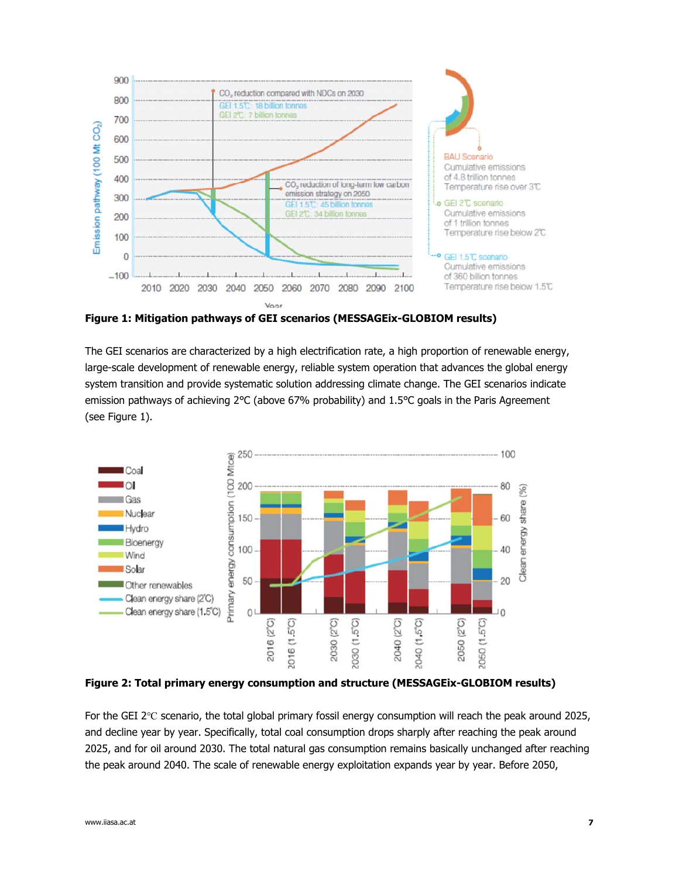

**Figure 1: Mitigation pathways of GEI scenarios (MESSAGEix-GLOBIOM results)** 

The GEI scenarios are characterized by a high electrification rate, a high proportion of renewable energy, large-scale development of renewable energy, reliable system operation that advances the global energy system transition and provide systematic solution addressing climate change. The GEI scenarios indicate emission pathways of achieving 2℃ (above 67% probability) and 1.5℃ goals in the Paris Agreement (see Figure 1).



**Figure 2: Total primary energy consumption and structure (MESSAGEix-GLOBIOM results)** 

For the GEI 2℃ scenario, the total global primary fossil energy consumption will reach the peak around 2025, and decline year by year. Specifically, total coal consumption drops sharply after reaching the peak around 2025, and for oil around 2030. The total natural gas consumption remains basically unchanged after reaching the peak around 2040. The scale of renewable energy exploitation expands year by year. Before 2050,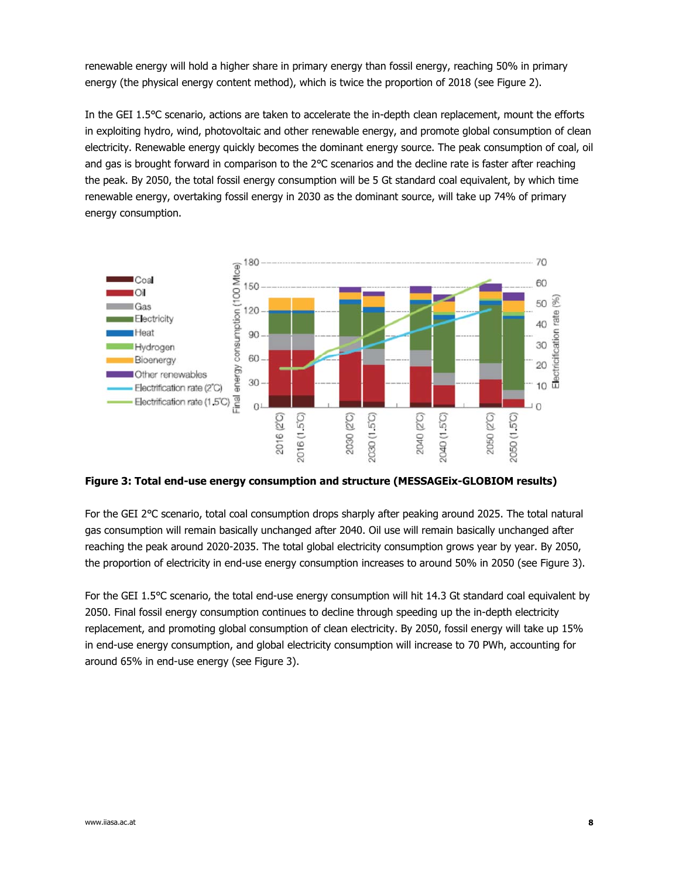renewable energy will hold a higher share in primary energy than fossil energy, reaching 50% in primary energy (the physical energy content method), which is twice the proportion of 2018 (see Figure 2).

In the GEI 1.5℃ scenario, actions are taken to accelerate the in-depth clean replacement, mount the efforts in exploiting hydro, wind, photovoltaic and other renewable energy, and promote global consumption of clean electricity. Renewable energy quickly becomes the dominant energy source. The peak consumption of coal, oil and gas is brought forward in comparison to the 2℃ scenarios and the decline rate is faster after reaching the peak. By 2050, the total fossil energy consumption will be 5 Gt standard coal equivalent, by which time renewable energy, overtaking fossil energy in 2030 as the dominant source, will take up 74% of primary energy consumption.



**Figure 3: Total end-use energy consumption and structure (MESSAGEix-GLOBIOM results)** 

For the GEI 2℃ scenario, total coal consumption drops sharply after peaking around 2025. The total natural gas consumption will remain basically unchanged after 2040. Oil use will remain basically unchanged after reaching the peak around 2020-2035. The total global electricity consumption grows year by year. By 2050, the proportion of electricity in end-use energy consumption increases to around 50% in 2050 (see Figure 3).

For the GEI 1.5℃ scenario, the total end-use energy consumption will hit 14.3 Gt standard coal equivalent by 2050. Final fossil energy consumption continues to decline through speeding up the in-depth electricity replacement, and promoting global consumption of clean electricity. By 2050, fossil energy will take up 15% in end-use energy consumption, and global electricity consumption will increase to 70 PWh, accounting for around 65% in end-use energy (see Figure 3).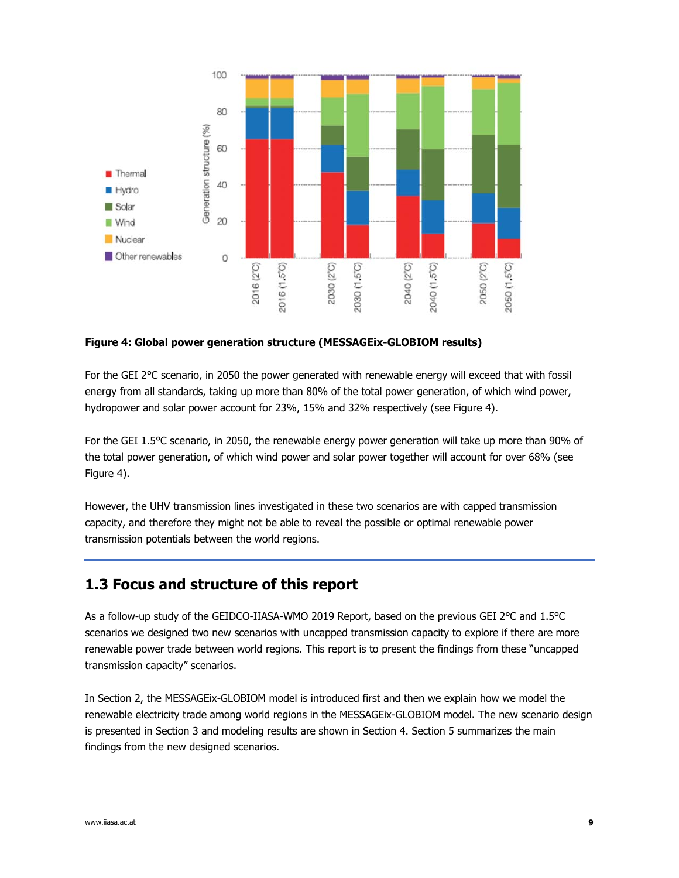

#### **Figure 4: Global power generation structure (MESSAGEix-GLOBIOM results)**

For the GEI 2℃ scenario, in 2050 the power generated with renewable energy will exceed that with fossil energy from all standards, taking up more than 80% of the total power generation, of which wind power, hydropower and solar power account for 23%, 15% and 32% respectively (see Figure 4).

For the GEI 1.5℃ scenario, in 2050, the renewable energy power generation will take up more than 90% of the total power generation, of which wind power and solar power together will account for over 68% (see Figure 4).

However, the UHV transmission lines investigated in these two scenarios are with capped transmission capacity, and therefore they might not be able to reveal the possible or optimal renewable power transmission potentials between the world regions.

### **1.3 Focus and structure of this report**

As a follow-up study of the GEIDCO-IIASA-WMO 2019 Report, based on the previous GEI 2℃ and 1.5℃ scenarios we designed two new scenarios with uncapped transmission capacity to explore if there are more renewable power trade between world regions. This report is to present the findings from these "uncapped transmission capacity" scenarios.

In Section 2, the MESSAGEix-GLOBIOM model is introduced first and then we explain how we model the renewable electricity trade among world regions in the MESSAGEix-GLOBIOM model. The new scenario design is presented in Section 3 and modeling results are shown in Section 4. Section 5 summarizes the main findings from the new designed scenarios.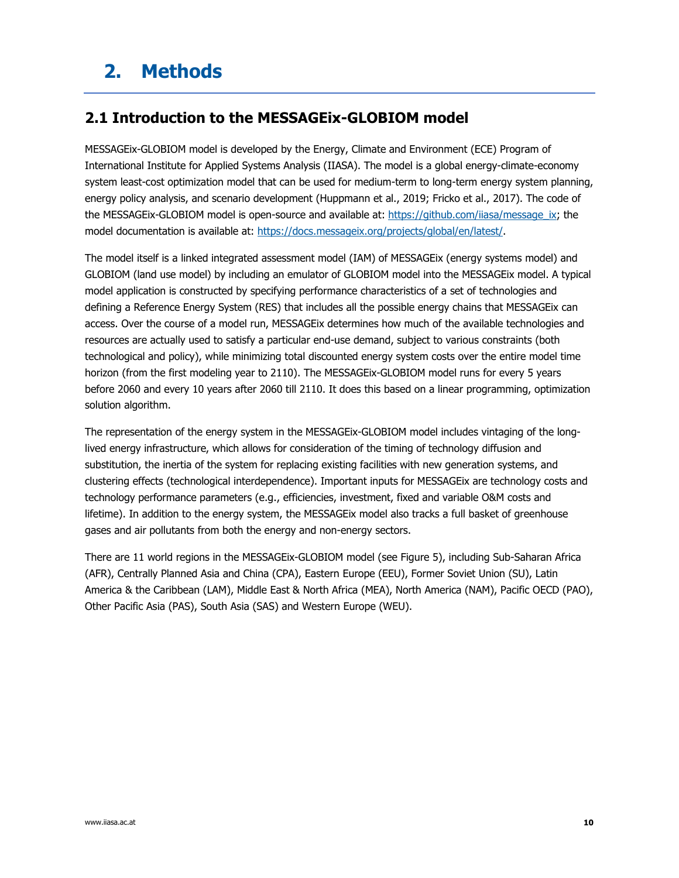# **2. Methods**

### **2.1 Introduction to the MESSAGEix-GLOBIOM model**

MESSAGEix-GLOBIOM model is developed by the Energy, Climate and Environment (ECE) Program of International Institute for Applied Systems Analysis (IIASA). The model is a global energy-climate-economy system least-cost optimization model that can be used for medium-term to long-term energy system planning, energy policy analysis, and scenario development (Huppmann et al., 2019; Fricko et al., 2017). The code of the MESSAGEix-GLOBIOM model is open-source and available at: https://github.com/iiasa/message\_ix; the model documentation is available at: https://docs.messageix.org/projects/global/en/latest/.

The model itself is a linked integrated assessment model (IAM) of MESSAGEix (energy systems model) and GLOBIOM (land use model) by including an emulator of GLOBIOM model into the MESSAGEix model. A typical model application is constructed by specifying performance characteristics of a set of technologies and defining a Reference Energy System (RES) that includes all the possible energy chains that MESSAGEix can access. Over the course of a model run, MESSAGEix determines how much of the available technologies and resources are actually used to satisfy a particular end-use demand, subject to various constraints (both technological and policy), while minimizing total discounted energy system costs over the entire model time horizon (from the first modeling year to 2110). The MESSAGEix-GLOBIOM model runs for every 5 years before 2060 and every 10 years after 2060 till 2110. It does this based on a linear programming, optimization solution algorithm.

The representation of the energy system in the MESSAGEix-GLOBIOM model includes vintaging of the longlived energy infrastructure, which allows for consideration of the timing of technology diffusion and substitution, the inertia of the system for replacing existing facilities with new generation systems, and clustering effects (technological interdependence). Important inputs for MESSAGEix are technology costs and technology performance parameters (e.g., efficiencies, investment, fixed and variable O&M costs and lifetime). In addition to the energy system, the MESSAGEix model also tracks a full basket of greenhouse gases and air pollutants from both the energy and non-energy sectors.

There are 11 world regions in the MESSAGEix-GLOBIOM model (see Figure 5), including Sub-Saharan Africa (AFR), Centrally Planned Asia and China (CPA), Eastern Europe (EEU), Former Soviet Union (SU), Latin America & the Caribbean (LAM), Middle East & North Africa (MEA), North America (NAM), Pacific OECD (PAO), Other Pacific Asia (PAS), South Asia (SAS) and Western Europe (WEU).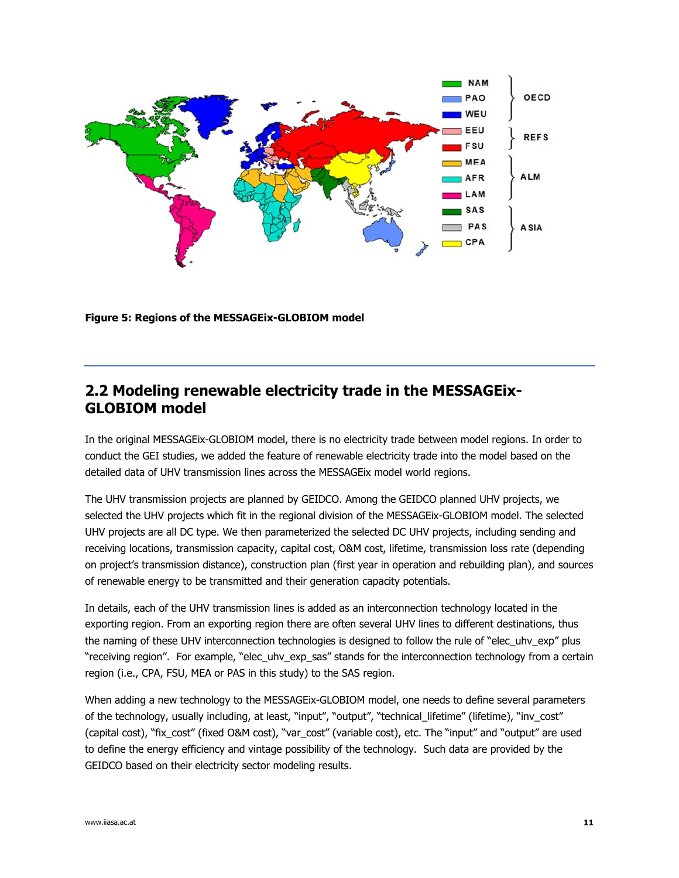

**Figure 5: Regions of the MESSAGEix-GLOBIOM model** 

### **2.2 Modeling renewable electricity trade in the MESSAGEix-GLOBIOM model**

In the original MESSAGEix-GLOBIOM model, there is no electricity trade between model regions. In order to conduct the GEI studies, we added the feature of renewable electricity trade into the model based on the detailed data of UHV transmission lines across the MESSAGEix model world regions.

The UHV transmission projects are planned by GEIDCO. Among the GEIDCO planned UHV projects, we selected the UHV projects which fit in the regional division of the MESSAGEix-GLOBIOM model. The selected UHV projects are all DC type. We then parameterized the selected DC UHV projects, including sending and receiving locations, transmission capacity, capital cost, O&M cost, lifetime, transmission loss rate (depending on project's transmission distance), construction plan (first year in operation and rebuilding plan), and sources of renewable energy to be transmitted and their generation capacity potentials.

In details, each of the UHV transmission lines is added as an interconnection technology located in the exporting region. From an exporting region there are often several UHV lines to different destinations, thus the naming of these UHV interconnection technologies is designed to follow the rule of "elec\_uhv\_exp" plus "receiving region". For example, "elec\_uhv\_exp\_sas" stands for the interconnection technology from a certain region (i.e., CPA, FSU, MEA or PAS in this study) to the SAS region.

When adding a new technology to the MESSAGEix-GLOBIOM model, one needs to define several parameters of the technology, usually including, at least, "input", "output", "technical\_lifetime" (lifetime), "inv\_cost" (capital cost), "fix\_cost" (fixed O&M cost), "var\_cost" (variable cost), etc. The "input" and "output" are used to define the energy efficiency and vintage possibility of the technology. Such data are provided by the GEIDCO based on their electricity sector modeling results.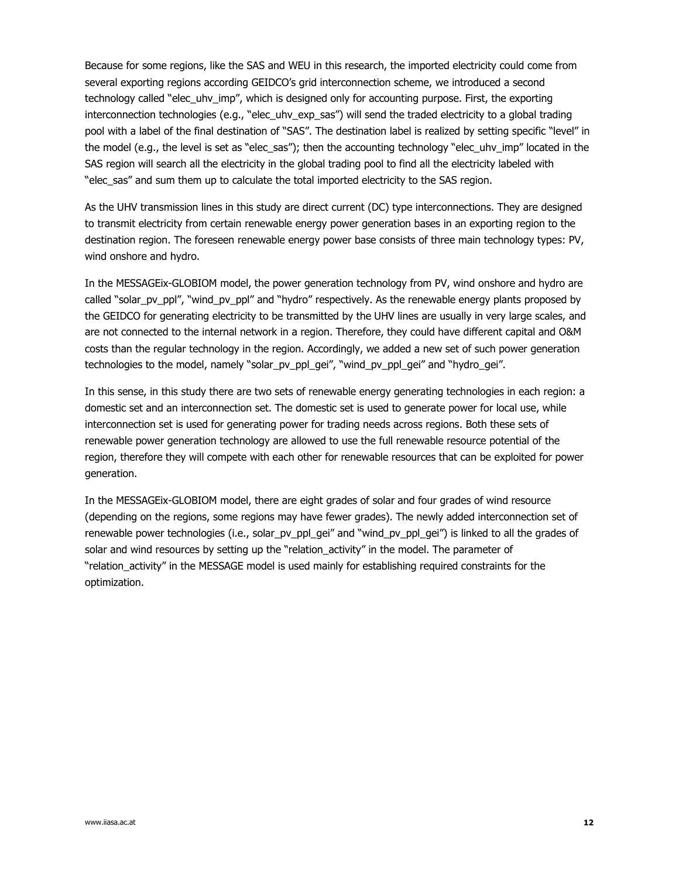Because for some regions, like the SAS and WEU in this research, the imported electricity could come from several exporting regions according GEIDCO's grid interconnection scheme, we introduced a second technology called "elec\_uhv\_imp", which is designed only for accounting purpose. First, the exporting interconnection technologies (e.g., "elec\_uhv\_exp\_sas") will send the traded electricity to a global trading pool with a label of the final destination of "SAS". The destination label is realized by setting specific "level" in the model (e.g., the level is set as "elec\_sas"); then the accounting technology "elec\_uhv\_imp" located in the SAS region will search all the electricity in the global trading pool to find all the electricity labeled with "elec\_sas" and sum them up to calculate the total imported electricity to the SAS region.

As the UHV transmission lines in this study are direct current (DC) type interconnections. They are designed to transmit electricity from certain renewable energy power generation bases in an exporting region to the destination region. The foreseen renewable energy power base consists of three main technology types: PV, wind onshore and hydro.

In the MESSAGEix-GLOBIOM model, the power generation technology from PV, wind onshore and hydro are called "solar\_pv\_ppl", "wind\_pv\_ppl" and "hydro" respectively. As the renewable energy plants proposed by the GEIDCO for generating electricity to be transmitted by the UHV lines are usually in very large scales, and are not connected to the internal network in a region. Therefore, they could have different capital and O&M costs than the regular technology in the region. Accordingly, we added a new set of such power generation technologies to the model, namely "solar\_pv\_ppl\_gei", "wind\_pv\_ppl\_gei" and "hydro\_gei".

In this sense, in this study there are two sets of renewable energy generating technologies in each region: a domestic set and an interconnection set. The domestic set is used to generate power for local use, while interconnection set is used for generating power for trading needs across regions. Both these sets of renewable power generation technology are allowed to use the full renewable resource potential of the region, therefore they will compete with each other for renewable resources that can be exploited for power generation.

In the MESSAGEix-GLOBIOM model, there are eight grades of solar and four grades of wind resource (depending on the regions, some regions may have fewer grades). The newly added interconnection set of renewable power technologies (i.e., solar\_pv\_ppl\_gei" and "wind\_pv\_ppl\_gei") is linked to all the grades of solar and wind resources by setting up the "relation\_activity" in the model. The parameter of "relation\_activity" in the MESSAGE model is used mainly for establishing required constraints for the optimization.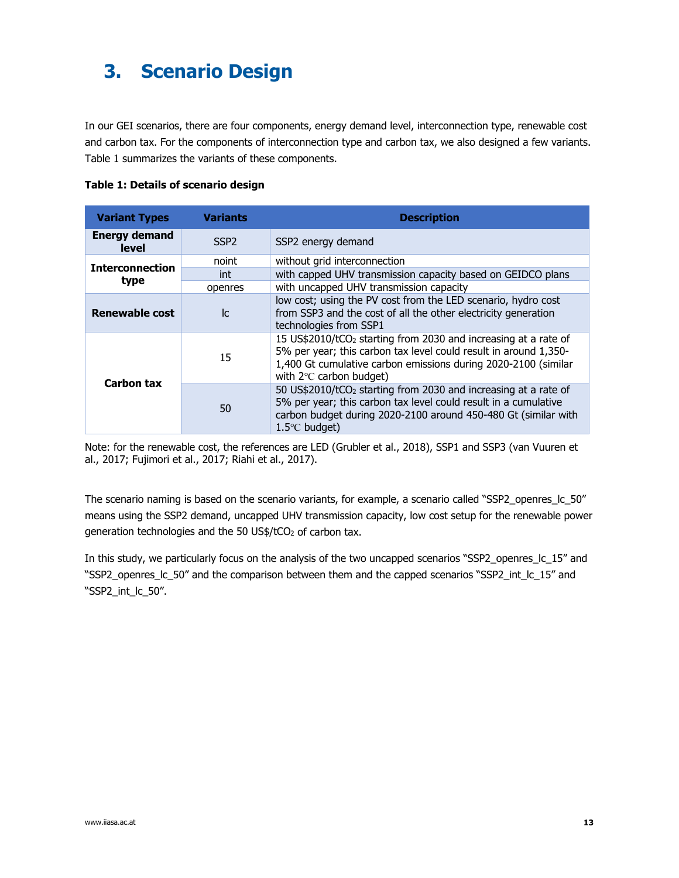### **3. Scenario Design**

In our GEI scenarios, there are four components, energy demand level, interconnection type, renewable cost and carbon tax. For the components of interconnection type and carbon tax, we also designed a few variants. Table 1 summarizes the variants of these components.

|  |  | Table 1: Details of scenario design |  |
|--|--|-------------------------------------|--|
|  |  |                                     |  |

| <b>Variant Types</b>          | Variants         | <b>Description</b>                                                                                                                                                                                                                           |
|-------------------------------|------------------|----------------------------------------------------------------------------------------------------------------------------------------------------------------------------------------------------------------------------------------------|
| <b>Energy demand</b><br>level | SSP <sub>2</sub> | SSP2 energy demand                                                                                                                                                                                                                           |
| <b>Interconnection</b>        | noint            | without grid interconnection                                                                                                                                                                                                                 |
|                               | int              | with capped UHV transmission capacity based on GEIDCO plans                                                                                                                                                                                  |
| type                          | openres          | with uncapped UHV transmission capacity                                                                                                                                                                                                      |
| <b>Renewable cost</b>         | lc.              | low cost; using the PV cost from the LED scenario, hydro cost<br>from SSP3 and the cost of all the other electricity generation<br>technologies from SSP1                                                                                    |
| Carbon tax                    | 15               | 15 US\$2010/tCO <sub>2</sub> starting from 2030 and increasing at a rate of<br>5% per year; this carbon tax level could result in around 1,350-<br>1,400 Gt cumulative carbon emissions during 2020-2100 (similar<br>with 2°C carbon budget) |
|                               | 50               | 50 US\$2010/tCO <sub>2</sub> starting from 2030 and increasing at a rate of<br>5% per year; this carbon tax level could result in a cumulative<br>carbon budget during 2020-2100 around 450-480 Gt (similar with<br>$1.5^{\circ}$ C budget)  |

Note: for the renewable cost, the references are LED (Grubler et al., 2018), SSP1 and SSP3 (van Vuuren et al., 2017; Fujimori et al., 2017; Riahi et al., 2017).

The scenario naming is based on the scenario variants, for example, a scenario called "SSP2\_openres\_lc\_50" means using the SSP2 demand, uncapped UHV transmission capacity, low cost setup for the renewable power generation technologies and the 50 US\$/tCO2 of carbon tax.

In this study, we particularly focus on the analysis of the two uncapped scenarios "SSP2\_openres\_lc\_15" and "SSP2\_openres\_lc\_50" and the comparison between them and the capped scenarios "SSP2\_int\_lc\_15" and "SSP2\_int\_lc\_50".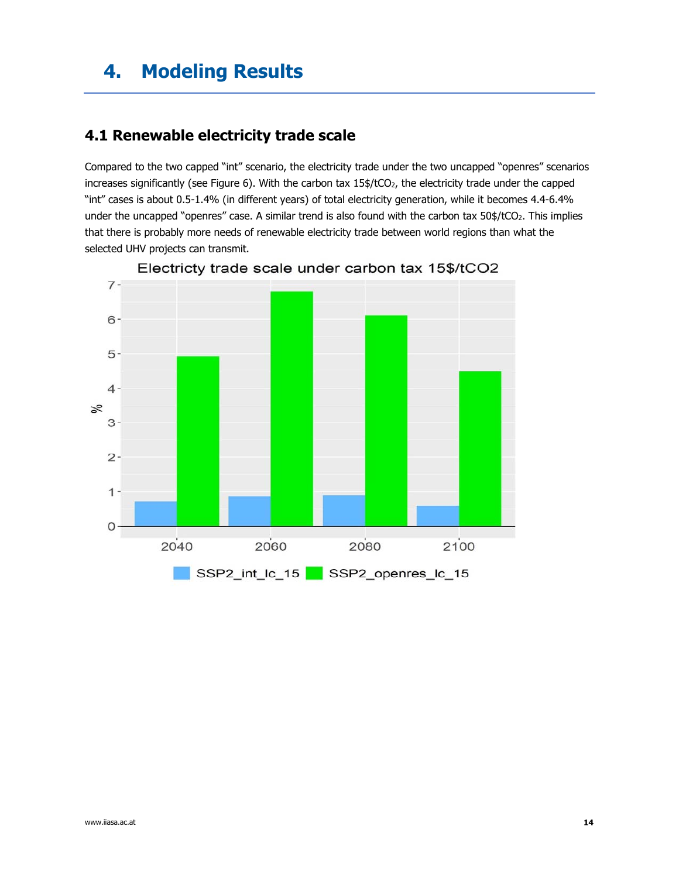### **4. Modeling Results**

### **4.1 Renewable electricity trade scale**

Compared to the two capped "int" scenario, the electricity trade under the two uncapped "openres" scenarios increases significantly (see Figure 6). With the carbon tax  $15\frac{4}{100}$ , the electricity trade under the capped "int" cases is about 0.5-1.4% (in different years) of total electricity generation, while it becomes 4.4-6.4% under the uncapped "openres" case. A similar trend is also found with the carbon tax 50\$/tCO2. This implies that there is probably more needs of renewable electricity trade between world regions than what the selected UHV projects can transmit.



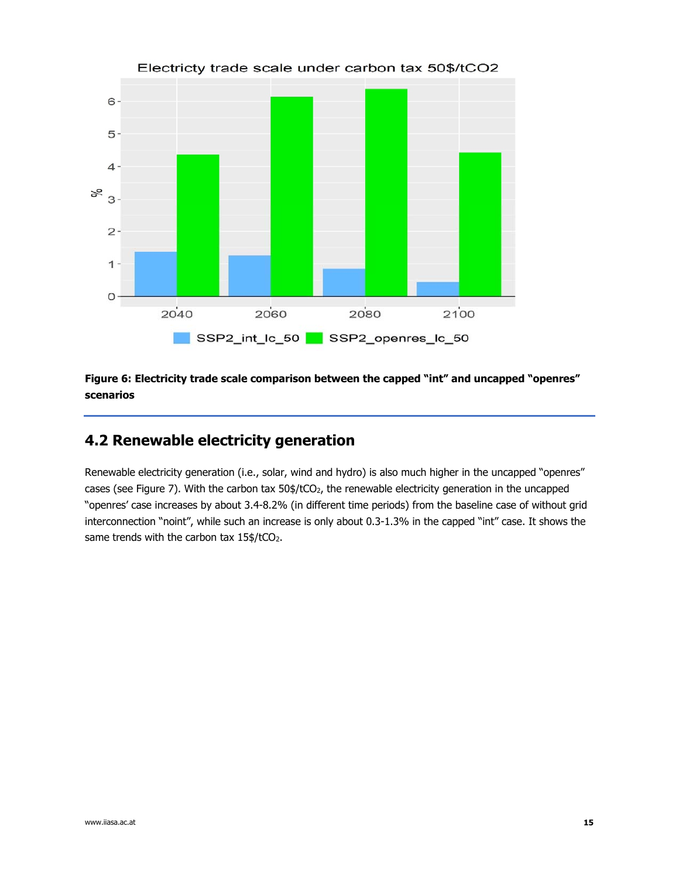

#### Electricty trade scale under carbon tax 50\$/tCO2

**Figure 6: Electricity trade scale comparison between the capped "int" and uncapped "openres" scenarios** 

### **4.2 Renewable electricity generation**

Renewable electricity generation (i.e., solar, wind and hydro) is also much higher in the uncapped "openres" cases (see Figure 7). With the carbon tax  $50\frac{4}{2}$ , the renewable electricity generation in the uncapped "openres' case increases by about 3.4-8.2% (in different time periods) from the baseline case of without grid interconnection "noint", while such an increase is only about 0.3-1.3% in the capped "int" case. It shows the same trends with the carbon tax 15\$/tCO2.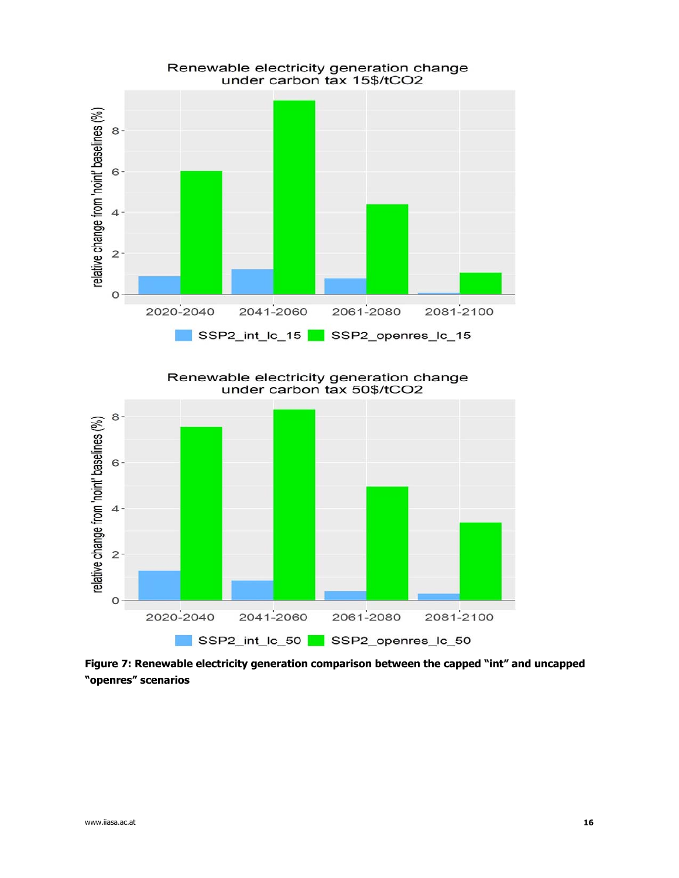

Renewable electricity generation change<br>under carbon tax 50\$/tCO2



**Figure 7: Renewable electricity generation comparison between the capped "int" and uncapped "openres" scenarios**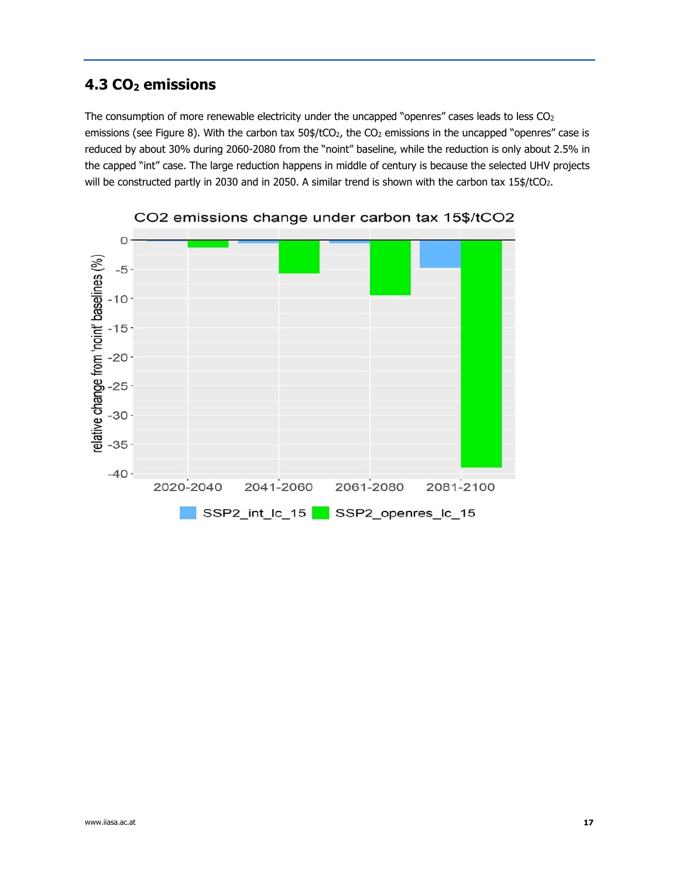### **4.3 CO2 emissions**

The consumption of more renewable electricity under the uncapped "openres" cases leads to less CO<sub>2</sub> emissions (see Figure 8). With the carbon tax 50\$/tCO<sub>2</sub>, the CO<sub>2</sub> emissions in the uncapped "openres" case is reduced by about 30% during 2060-2080 from the "noint" baseline, while the reduction is only about 2.5% in the capped "int" case. The large reduction happens in middle of century is because the selected UHV projects will be constructed partly in 2030 and in 2050. A similar trend is shown with the carbon tax 15\$/tCO2.



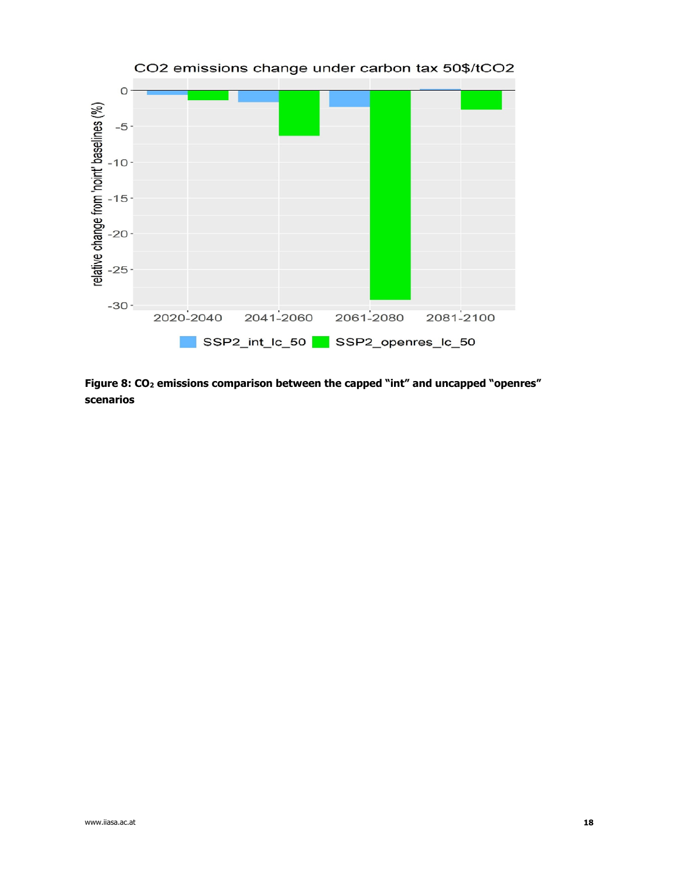

**Figure 8: CO2 emissions comparison between the capped "int" and uncapped "openres" scenarios**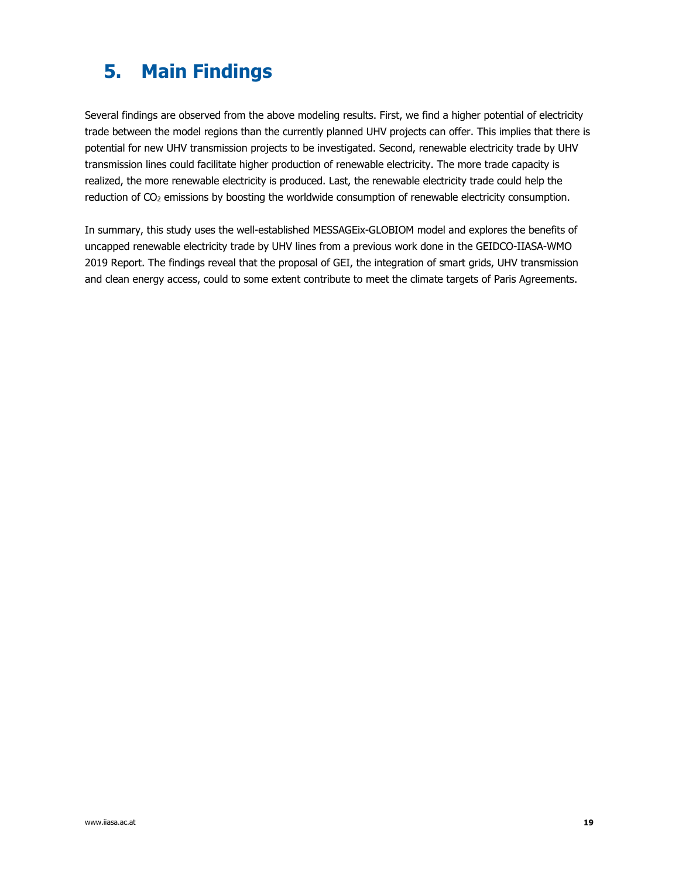# **5. Main Findings**

Several findings are observed from the above modeling results. First, we find a higher potential of electricity trade between the model regions than the currently planned UHV projects can offer. This implies that there is potential for new UHV transmission projects to be investigated. Second, renewable electricity trade by UHV transmission lines could facilitate higher production of renewable electricity. The more trade capacity is realized, the more renewable electricity is produced. Last, the renewable electricity trade could help the reduction of CO<sub>2</sub> emissions by boosting the worldwide consumption of renewable electricity consumption.

In summary, this study uses the well-established MESSAGEix-GLOBIOM model and explores the benefits of uncapped renewable electricity trade by UHV lines from a previous work done in the GEIDCO-IIASA-WMO 2019 Report. The findings reveal that the proposal of GEI, the integration of smart grids, UHV transmission and clean energy access, could to some extent contribute to meet the climate targets of Paris Agreements.